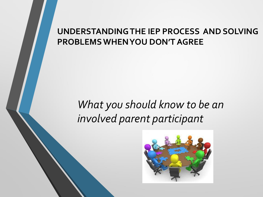#### **UNDERSTANDING THE IEP PROCESS AND SOLVING PROBLEMS WHEN YOU DON'T AGREE**

#### *What you should know to be an involved parent participant*

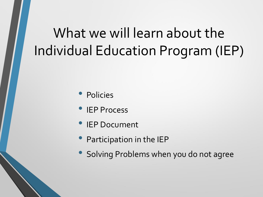# What we will learn about the Individual Education Program (IEP)

- Policies
- IEP Process
- **IEP Document**
- Participation in the IEP
- Solving Problems when you do not agree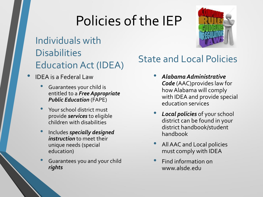# Policies of the IEP

Individuals with **Disabilities** Education Act (IDEA)

- IDEA is a Federal Law
	- Guarantees your child is entitled to a *Free Appropriate Public Education* (FAPE)
	- Your school district must provide *services* to eligible children with disabilities
	- Includes *specially designed instruction* to meet their unique needs (special education)
	- Guarantees you and your child *rights*

#### State and Local Policies

- *Alabama Administrative Code* (AAC)provides law for how Alabama will comply with IDEA and provide special education services
- *Local policies* of your school district can be found in your district handbook/student handbook
- All AAC and Local policies must comply with IDEA
- Find information on www.alsde.edu

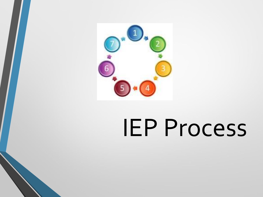

# IEP Process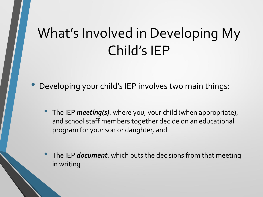# What's Involved in Developing My Child's IEP

• Developing your child's IEP involves two main things:

• The IEP *meeting(s)*, where you, your child (when appropriate), and school staff members together decide on an educational program for your son or daughter, and

• The IEP *document*, which puts the decisions from that meeting in writing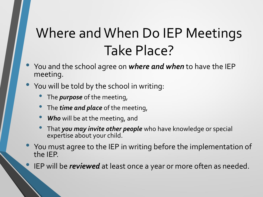# Where and When Do IEP Meetings Take Place?

- You and the school agree on *where and when* to have the IEP meeting.
- You will be told by the school in writing:
	- The *purpose* of the meeting,
	- The *time and place* of the meeting,
	- **Who** will be at the meeting, and
	- That *you may invite other people* who have knowledge or special expertise about your child.
- You must agree to the IEP in writing before the implementation of the IEP.
	- IEP will be *reviewed* at least once a year or more often as needed.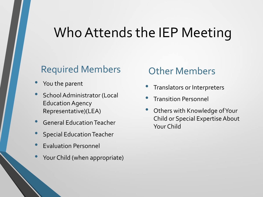### Who Attends the IEP Meeting

#### Required Members

- You the parent
- School Administrator (Local Education Agency Representative)(LEA)
- General Education Teacher
- Special Education Teacher
- Evaluation Personnel
- Your Child (when appropriate)

#### Other Members

- Translators or Interpreters
- Transition Personnel
- Others with Knowledge of Your Child or Special Expertise About Your Child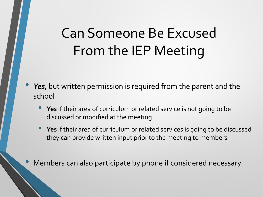# Can Someone Be Excused From the IEP Meeting

- Yes, but written permission is required from the parent and the school
	- **Yes** if their area of curriculum or related service is not going to be discussed or modified at the meeting
	- **Yes** if their area of curriculum or related services is going to be discussed they can provide written input prior to the meeting to members

• Members can also participate by phone if considered necessary.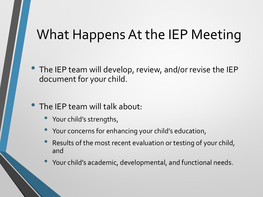#### What Happens At the IEP Meeting

- The IEP team will develop, review, and/or revise the IEP document for your child.
- The IEP team will talk about:
	- Your child's strengths,
	- Your concerns for enhancing your child's education,
	- Results of the most recent evaluation or testing of your child, and
	- Your child's academic, developmental, and functional needs.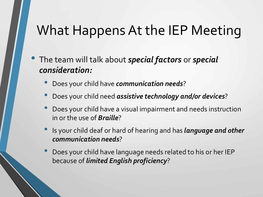### What Happens At the IEP Meeting

- The team will talk about *special factors* or *special consideration:*
	- Does your child have *communication needs*?
	- Does your child need *assistive technology and/or devices*?
	- Does your child have a visual impairment and needs instruction in or the use of *Braille*?
	- Is your child deaf or hard of hearing and has *language and other communication needs*?
	- Does your child have language needs related to his or her IEP because of *limited English proficiency*?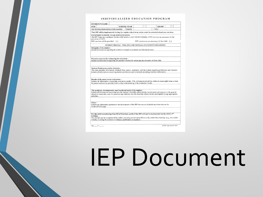#### INDIVIDUALIZED EDUCATION PROGRAM

| <b>DOR</b>                                                                                                                                                                                                                                                                      |        | <b>SCHOOL YEAR</b>                                                                                                      |                                                   | <b>GRADE</b> |  |  |
|---------------------------------------------------------------------------------------------------------------------------------------------------------------------------------------------------------------------------------------------------------------------------------|--------|-------------------------------------------------------------------------------------------------------------------------|---------------------------------------------------|--------------|--|--|
| <b>IEP INITIATION/DURATION DATES</b>                                                                                                                                                                                                                                            |        | <b>FROM</b>                                                                                                             |                                                   | TO           |  |  |
| This IEP will be implemented during the regular school term unless noted in extended school year services.                                                                                                                                                                      |        |                                                                                                                         |                                                   |              |  |  |
| <b>EXTENDED SCHOOL YEAR SERVICES (ESY)</b><br>The IEP Team has considered, for the child, based on AAC 290-8-9.05(6)(9), if ESY services are necessary for the<br>provision of FAPE.<br>ESY services will be provided:                                                          | $\Box$ |                                                                                                                         | ESY services are not necessary for the child: [1] |              |  |  |
|                                                                                                                                                                                                                                                                                 |        | STUDENT PROFILE - WILL INCLUDE GENERAL STATEMENTS REGARDING:                                                            |                                                   |              |  |  |
| Strengths of the student-                                                                                                                                                                                                                                                       |        |                                                                                                                         |                                                   |              |  |  |
| Include information regarding the student's strengths in academic and functional areas.                                                                                                                                                                                         |        |                                                                                                                         |                                                   |              |  |  |
|                                                                                                                                                                                                                                                                                 |        |                                                                                                                         |                                                   |              |  |  |
|                                                                                                                                                                                                                                                                                 |        |                                                                                                                         |                                                   |              |  |  |
| Parental concerns for enhancing the education -                                                                                                                                                                                                                                 |        |                                                                                                                         |                                                   |              |  |  |
| Include all information regarding the parental concerns for enhancing the education of their child.                                                                                                                                                                             |        |                                                                                                                         |                                                   |              |  |  |
|                                                                                                                                                                                                                                                                                 |        |                                                                                                                         |                                                   |              |  |  |
|                                                                                                                                                                                                                                                                                 |        |                                                                                                                         |                                                   |              |  |  |
| Student Preferences and/or Interests -                                                                                                                                                                                                                                          |        |                                                                                                                         |                                                   |              |  |  |
| This area includes information obtained from parent, teacher(s), and the student regarding preferences and interests.<br>Include all information concerning student preferences and/or interests including transition information.                                              |        |                                                                                                                         |                                                   |              |  |  |
|                                                                                                                                                                                                                                                                                 |        |                                                                                                                         |                                                   |              |  |  |
|                                                                                                                                                                                                                                                                                 |        |                                                                                                                         |                                                   |              |  |  |
| Results of the most recent evaluations -                                                                                                                                                                                                                                        |        |                                                                                                                         |                                                   |              |  |  |
| Include all information concerning evaluation results. This information should be written in meaningful terms so that                                                                                                                                                           |        |                                                                                                                         |                                                   |              |  |  |
| the parent and service providers have a clear understanding of the evaluation results.                                                                                                                                                                                          |        |                                                                                                                         |                                                   |              |  |  |
|                                                                                                                                                                                                                                                                                 |        |                                                                                                                         |                                                   |              |  |  |
| The academic, developmental, and functional needs of the student-                                                                                                                                                                                                               |        |                                                                                                                         |                                                   |              |  |  |
|                                                                                                                                                                                                                                                                                 |        |                                                                                                                         |                                                   |              |  |  |
|                                                                                                                                                                                                                                                                                 |        | Include all information concerning how the student's disability affects his/her involvement and progress in the general |                                                   |              |  |  |
|                                                                                                                                                                                                                                                                                 |        |                                                                                                                         |                                                   |              |  |  |
|                                                                                                                                                                                                                                                                                 |        |                                                                                                                         |                                                   |              |  |  |
| education curriculum, and, for preschool age children, how the disability affects his/her participation in age-appropriate<br>activities.                                                                                                                                       |        |                                                                                                                         |                                                   |              |  |  |
|                                                                                                                                                                                                                                                                                 |        |                                                                                                                         |                                                   |              |  |  |
|                                                                                                                                                                                                                                                                                 |        |                                                                                                                         |                                                   |              |  |  |
|                                                                                                                                                                                                                                                                                 |        |                                                                                                                         |                                                   |              |  |  |
|                                                                                                                                                                                                                                                                                 |        |                                                                                                                         |                                                   |              |  |  |
| $Other -$<br>Include any information pertinent to the development of the IEP that was not included anywhere else on the<br>Student Profile page.<br>For the child transitioning from EI to Preschool, justify if the IEP will not be implemented on the child's 3 <sup>rd</sup> |        |                                                                                                                         |                                                   |              |  |  |
| birthday-<br>This should only be completed if the child is not being served under IDEA on the child's third birthday. (e.g., if a child's                                                                                                                                       |        |                                                                                                                         |                                                   |              |  |  |

ALSDE Approved Feb. 2017

# IEP Document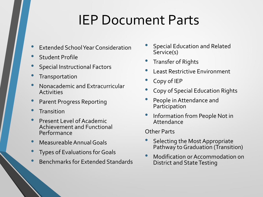### IEP Document Parts

- Extended School Year Consideration
- **Student Profile**
- Special Instructional Factors
- **Transportation**
- Nonacademic and Extracurricular Activities
- Parent Progress Reporting
- **Transition**
- Present Level of Academic Achievement and Functional Performance
- Measureable Annual Goals
- Types of Evaluations for Goals
- Benchmarks for Extended Standards
- Special Education and Related Service(s)
- Transfer of Rights
- Least Restrictive Environment
- Copy of IEP
- Copy of Special Education Rights
- People in Attendance and Participation
- Information from People Not in Attendance

Other Parts

- Selecting the Most Appropriate Pathway to Graduation (Transition)
- Modification or Accommodation on District and State Testing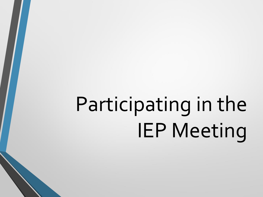# Participating in the IEP Meeting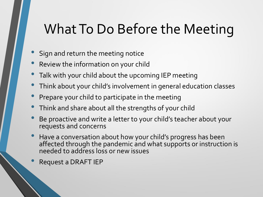## What To Do Before the Meeting

- Sign and return the meeting notice
- Review the information on your child
- Talk with your child about the upcoming IEP meeting
- Think about your child's involvement in general education classes
- Prepare your child to participate in the meeting
- Think and share about all the strengths of your child
- Be proactive and write a letter to your child's teacher about your requests and concerns
- Have a conversation about how your child's progress has been affected through the pandemic and what supports or instruction is needed to address loss or new issues
- Request a DRAFT IEP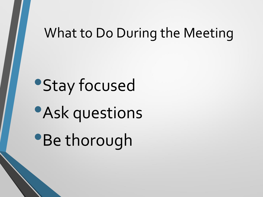#### What to Do During the Meeting

**•Stay focused •Ask questions** •Be thorough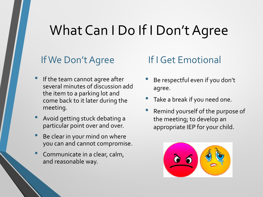### What Can I Do If I Don't Agree

#### If We Don't Agree

- If the team cannot agree after several minutes of discussion add the item to a parking lot and come back to it later during the meeting.
- Avoid getting stuck debating a particular point over and over.
- Be clear in your mind on where you can and cannot compromise.
- Communicate in a clear, calm, and reasonable way.

#### If I Get Emotional

- Be respectful even if you don't agree.
- Take a break if you need one.
- Remind yourself of the purpose of the meeting; to develop an appropriate IEP for your child.

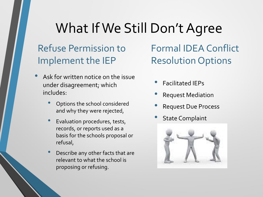### What If We Still Don't Agree

#### Refuse Permission to Implement the IEP

- Ask for written notice on the issue under disagreement; which includes:
	- Options the school considered and why they were rejected,
	- Evaluation procedures, tests, records, or reports used as a basis for the schools proposal or refusal,
	- Describe any other facts that are relevant to what the school is proposing or refusing.

Formal IDEA Conflict Resolution Options

- Facilitated IEPs
- Request Mediation
- Request Due Process
- **State Complaint**

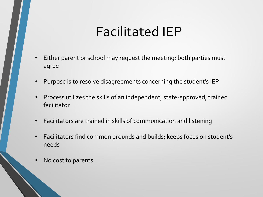### Facilitated IEP

- Either parent or school may request the meeting; both parties must agree
- Purpose is to resolve disagreements concerning the student's IEP
- Process utilizes the skills of an independent, state-approved, trained facilitator
- Facilitators are trained in skills of communication and listening
- Facilitators find common grounds and builds; keeps focus on student's needs
- No cost to parents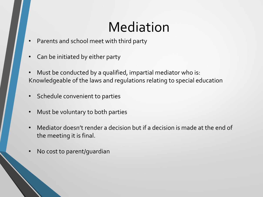# Mediation

- Parents and school meet with third party
- Can be initiated by either party
- Must be conducted by a qualified, impartial mediator who is: Knowledgeable of the laws and regulations relating to special education
- Schedule convenient to parties
- Must be voluntary to both parties
- Mediator doesn't render a decision but if a decision is made at the end of the meeting it is final.
- No cost to parent/guardian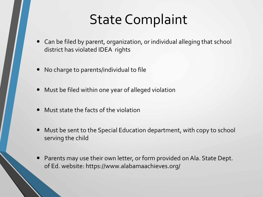### State Complaint

- Can be filed by parent, organization, or individual alleging that school district has violated IDEA rights
- No charge to parents/individual to file
- Must be filed within one year of alleged violation
- Must state the facts of the violation
- Must be sent to the Special Education department, with copy to school serving the child
- Parents may use their own letter, or form provided on Ala. State Dept. of Ed. website: https://www.alabamaachieves.org/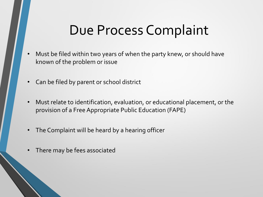### Due Process Complaint

- Must be filed within two years of when the party knew, or should have known of the problem or issue
- Can be filed by parent or school district
- Must relate to identification, evaluation, or educational placement, or the provision of a Free Appropriate Public Education (FAPE)
- The Complaint will be heard by a hearing officer
- There may be fees associated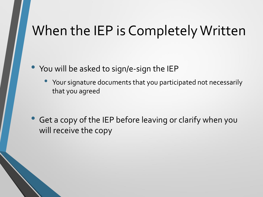#### When the IEP is Completely Written

• You will be asked to sign/e-sign the IEP

Your signature documents that you participated not necessarily that you agreed

Get a copy of the IEP before leaving or clarify when you will receive the copy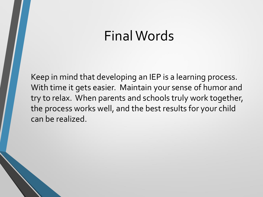#### Final Words

Keep in mind that developing an IEP is a learning process. With time it gets easier. Maintain your sense of humor and try to relax. When parents and schools truly work together, the process works well, and the best results for your child can be realized.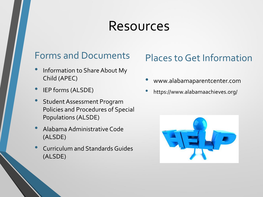#### Resources

#### Forms and Documents

- Information to Share About My Child (APEC)
- IEP forms (ALSDE)
- Student Assessment Program Policies and Procedures of Special Populations (ALSDE)
- Alabama Administrative Code (ALSDE)
- Curriculum and Standards Guides (ALSDE)

#### Places to Get Information

- www.alabamaparentcenter.com
- https://www.alabamaachieves.org/